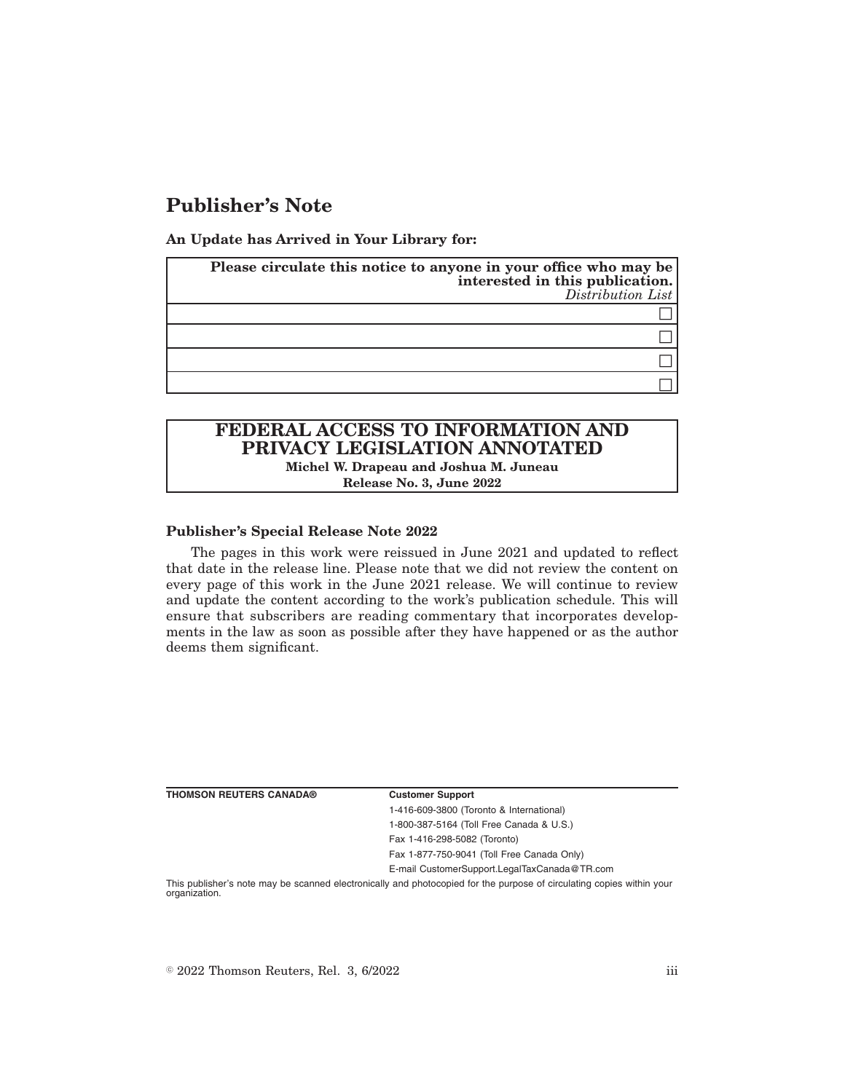## **Publisher's Note**

**An Update has Arrived in Your Library for:**

| Please circulate this notice to anyone in your office who may be<br>interested in this publication.<br>$Distriolution$ List |
|-----------------------------------------------------------------------------------------------------------------------------|
|                                                                                                                             |
|                                                                                                                             |
|                                                                                                                             |
|                                                                                                                             |

## **FEDERAL ACCESS TO INFORMATION AND PRIVACY LEGISLATION ANNOTATED Michel W. Drapeau and Joshua M. Juneau**

**Release No. 3, June 2022**

**Publisher's Special Release Note 2022**

The pages in this work were reissued in June 2021 and updated to reflect that date in the release line. Please note that we did not review the content on every page of this work in the June 2021 release. We will continue to review and update the content according to the work's publication schedule. This will ensure that subscribers are reading commentary that incorporates developments in the law as soon as possible after they have happened or as the author deems them significant.

| <b>THOMSON REUTERS CANADA®</b> | <b>Customer Support</b>                                                                                               |
|--------------------------------|-----------------------------------------------------------------------------------------------------------------------|
|                                | 1-416-609-3800 (Toronto & International)                                                                              |
|                                | 1-800-387-5164 (Toll Free Canada & U.S.)                                                                              |
|                                | Fax 1-416-298-5082 (Toronto)                                                                                          |
|                                | Fax 1-877-750-9041 (Toll Free Canada Only)                                                                            |
|                                | E-mail CustomerSupport.LegalTaxCanada@TR.com                                                                          |
| organization.                  | This publisher's note may be scanned electronically and photocopied for the purpose of circulating copies within your |

 $\textdegree$  2022 Thomson Reuters, Rel. 3, 6/2022 iii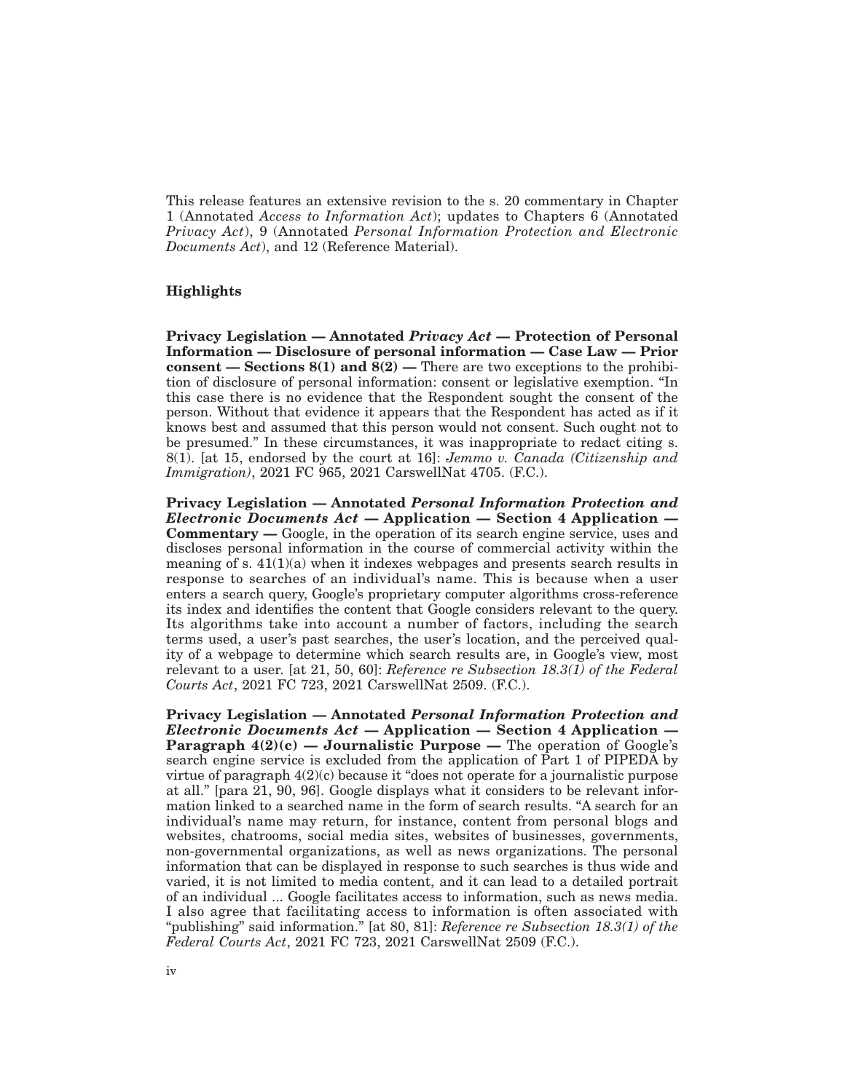This release features an extensive revision to the s. 20 commentary in Chapter 1 (Annotated *Access to Information Act*); updates to Chapters 6 (Annotated *Privacy Act*), 9 (Annotated *Personal Information Protection and Electronic Documents Act*), and 12 (Reference Material).

## **Highlights**

**Privacy Legislation — Annotated** *Privacy Act* **— Protection of Personal Information — Disclosure of personal information — Case Law — Prior consent — Sections 8(1) and 8(2) —** There are two exceptions to the prohibition of disclosure of personal information: consent or legislative exemption. "In this case there is no evidence that the Respondent sought the consent of the person. Without that evidence it appears that the Respondent has acted as if it knows best and assumed that this person would not consent. Such ought not to be presumed." In these circumstances, it was inappropriate to redact citing s. 8(1). [at 15, endorsed by the court at 16]: *Jemmo v. Canada (Citizenship and Immigration)*, 2021 FC 965, 2021 CarswellNat 4705. (F.C.).

**Privacy Legislation — Annotated** *Personal Information Protection and Electronic Documents Act* **— Application — Section 4 Application — Commentary —** Google, in the operation of its search engine service, uses and discloses personal information in the course of commercial activity within the meaning of s.  $41(1)(a)$  when it indexes webpages and presents search results in response to searches of an individual's name. This is because when a user enters a search query, Google's proprietary computer algorithms cross-reference its index and identifies the content that Google considers relevant to the query. Its algorithms take into account a number of factors, including the search terms used, a user's past searches, the user's location, and the perceived quality of a webpage to determine which search results are, in Google's view, most relevant to a user. [at 21, 50, 60]: *Reference re Subsection 18.3(1) of the Federal Courts Act*, 2021 FC 723, 2021 CarswellNat 2509. (F.C.).

**Privacy Legislation — Annotated** *Personal Information Protection and Electronic Documents Act* **— Application — Section 4 Application — Paragraph 4(2)(c) — Journalistic Purpose —** The operation of Google's search engine service is excluded from the application of Part 1 of PIPEDA by virtue of paragraph  $4(2)(c)$  because it "does not operate for a journalistic purpose at all." [para 21, 90, 96]. Google displays what it considers to be relevant information linked to a searched name in the form of search results. "A search for an individual's name may return, for instance, content from personal blogs and websites, chatrooms, social media sites, websites of businesses, governments, non-governmental organizations, as well as news organizations. The personal information that can be displayed in response to such searches is thus wide and varied, it is not limited to media content, and it can lead to a detailed portrait of an individual ... Google facilitates access to information, such as news media. I also agree that facilitating access to information is often associated with "publishing" said information." [at 80, 81]: *Reference re Subsection 18.3(1) of the Federal Courts Act*, 2021 FC 723, 2021 CarswellNat 2509 (F.C.).